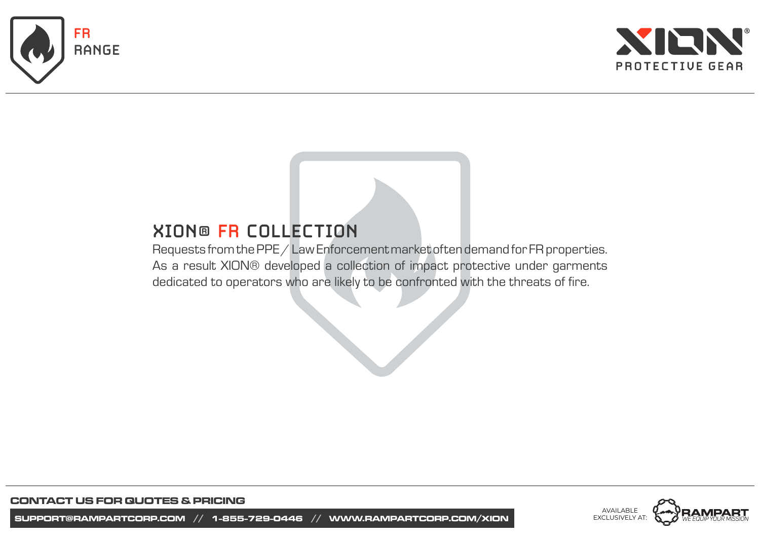



# **XION® FR COLLECTION**

Requests from the PPE / Law Enforcement market often demand for FR properties. As a result XION® developed a collection of impact protective under garments dedicated to operators who are likely to be confronted with the threats of fire.

> AVAILABLE EXCLUSIVELY AT:

**CONTACT US FOR QUOTES & PRICING**

**SUPPORT@RAMPARTCORP.COM // 1-855-729-0446 // WWW.RAMPARTCORP.COM/XION**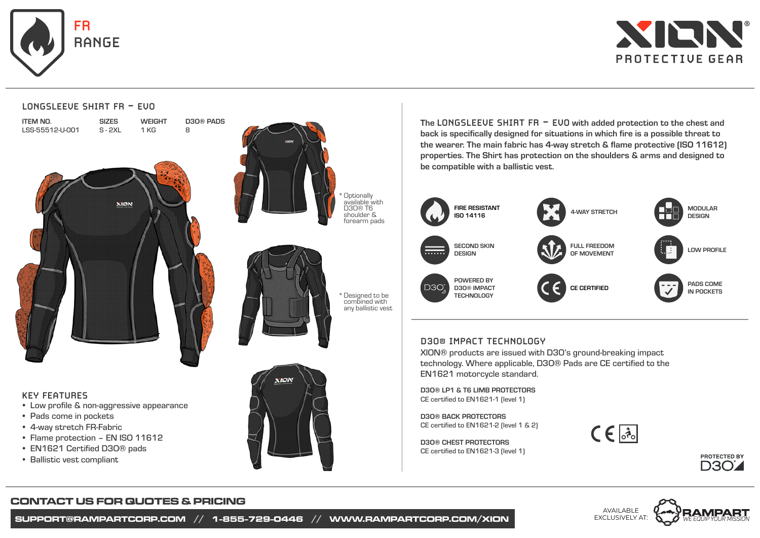



#### **LONGSLEEVE SHIRT FR - EVO**

| item No.        |
|-----------------|
| LSS-55512-U-001 |





SIZES



D3O® PADS

8





\*Designed to be combined with any ballistic vest

#### **KEY FEATURES**

- Low profile & non-aggressive appearance
- Pads come in pockets
- 4-way stretch FR-Fabric •
- Flame protection EN ISO 11612
- EN1621 Certified D3O® pads •
- Ballistic vest compliant



The LONGSLEEVE SHIRT FR - EVO with added protection to the chest and back is specifically designed for situations in which fire is a possible threat to the wearer. The main fabric has 4-way stretch & flame protective (ISO 11612) properties. The Shirt has protection on the shoulders & arms and designed to be compatible with a ballistic vest.



# **D3O® IMPACT TECHNOLOGY**

XION® products are issued with D3O's ground-breaking impact technology. Where applicable, D3O® Pads are CE certified to the EN1621 motorcycle standard.

D3O® LP1 & T6 LIMB PROTECTORS CE certified to EN1621-1 (level 1)

D3O® BACK PROTECTORS CE certified to EN1621-2 (level 1 & 2)

D3O® CHEST PROTECTORS CE certified to EN1621-3 (level 1)







# **CONTACT US FOR QUOTES & PRICING**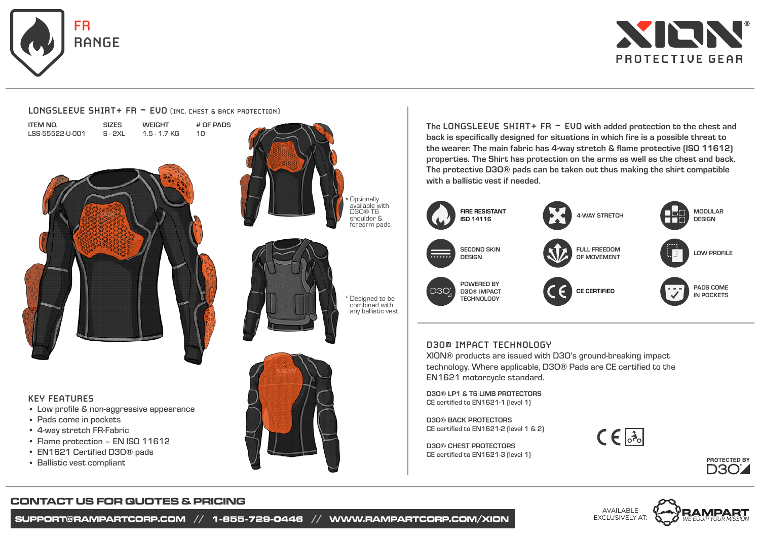

ITEM NO.



1.5 - 1.7 KG S - 2XL LSS-55522-U-001 10

**WEIGHT** 

# OF PADS

**SIZES** 

#### **KEY FEATURES**

- Low profile & non-aggressive appearance •
- Pads come in pockets
- 4-way stretch FR-Fabric •
- Flame protection EN ISO 11612
- EN1621 Certified D3O® pads •
- Ballistic vest compliant





\*Designed to be combined with any ballistic vest



The **LONGSLEEVE SHIRT+ FR - EVO** with added protection to the chest and back is specifically designed for situations in which fire is a possible threat to the wearer. The main fabric has 4-way stretch & flame protective (ISO 11612) properties. The Shirt has protection on the arms as well as the chest and back. The protective D3O® pads can be taken out thus making the shirt compatible with a ballistic vest if needed.



# **D3O® IMPACT TECHNOLOGY**

XION® products are issued with D3O's ground-breaking impact technology. Where applicable, D3O® Pads are CE certified to the EN1621 motorcycle standard.

D3O® LP1 & T6 LIMB PROTECTORS CE certified to EN1621-1 (level 1)

D3O® BACK PROTECTORS CE certified to EN1621-2 (level 1 & 2)

D3O® CHEST PROTECTORS CE certified to EN1621-3 (level 1)







# **CONTACT US FOR QUOTES & PRICING**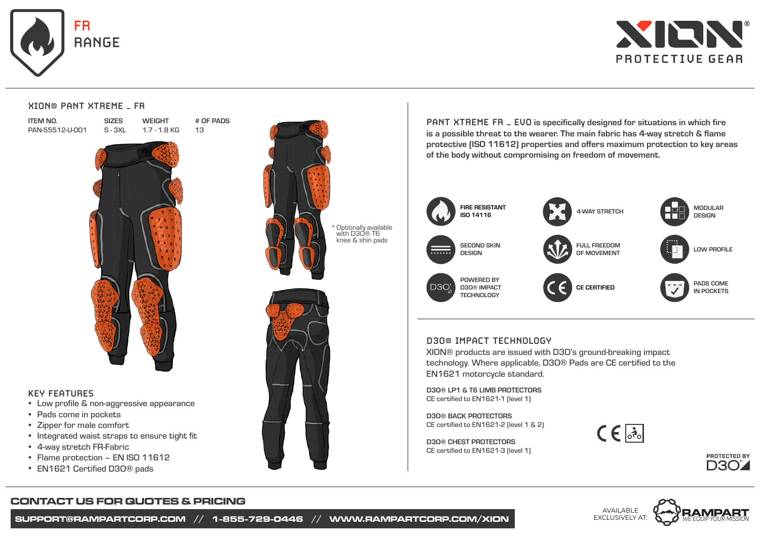



#### **XION® PANT XTREME – FR**

SIZES

ITEM NO. PAN-55512-U-001 WEIGHT 1.7 - 1.8 KG # OF PADS 13



#### **KEY FEATURES**

- Low profile & non-aggressive appearance
- Pads come in pockets
- Zipper for male comfort
- Integrated waist straps to ensure tight fit
- 4-way stretch FR-Fabric •
- Flame protection EN ISO 11612
- EN1621 Certified D3O® pads •



**PANT XTREME FR – EVO** is specifically designed for situations in which fire is a possible threat to the wearer. The main fabric has 4-way stretch & flame protective (ISO 11612) properties and offers maximum protection to key areas of the body without compromising on freedom of movement.



#### **D3O® IMPACT TECHNOLOGY**

XION® products are issued with D3O's ground-breaking impact technology. Where applicable, D3O® Pads are CE certified to the EN1621 motorcycle standard.

D3O® LP1 & T6 LIMB PROTECTORS CE certified to EN1621-1 (level 1)

D3O® BACK PROTECTORS CE certified to EN1621-2 (level 1 & 2)

D3O® CHEST PROTECTORS CE certified to EN1621-3 (level 1)







# **CONTACT US FOR QUOTES & PRICING**

**SUPPORT@RAMPARTCORP.COM // 1-855-729-0446 // WWW.RAMPARTCORP.COM/XION**